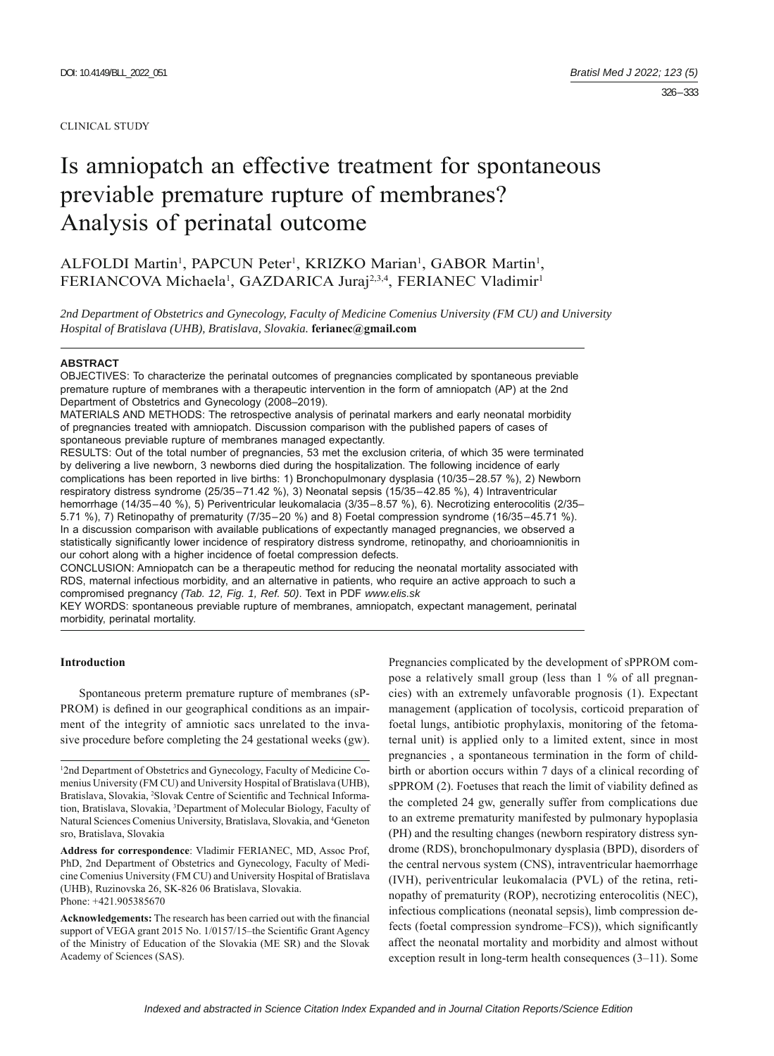#### CLINICAL STUDY

# Is amniopatch an effective treatment for spontaneous previable premature rupture of membranes? Analysis of perinatal outcome

# ALFOLDI Martin<sup>1</sup>, PAPCUN Peter<sup>1</sup>, KRIZKO Marian<sup>1</sup>, GABOR Martin<sup>1</sup>, FERIANCOVA Michaela<sup>1</sup>, GAZDARICA Juraj<sup>2,3,4</sup>, FERIANEC Vladimir<sup>1</sup>

*2nd Department of Obstetrics and Gynecology, Faculty of Medicine Comenius University (FM CU) and University Hospital of Bratislava (UHB), Bratislava, Slovakia.* **ferianec@gmail.com**

#### **ABSTRACT**

OBJECTIVES: To characterize the perinatal outcomes of pregnancies complicated by spontaneous previable premature rupture of membranes with a therapeutic intervention in the form of amniopatch (AP) at the 2nd Department of Obstetrics and Gynecology (2008-2019).

MATERIALS AND METHODS: The retrospective analysis of perinatal markers and early neonatal morbidity of pregnancies treated with amniopatch. Discussion comparison with the published papers of cases of spontaneous previable rupture of membranes managed expectantly.

RESULTS: Out of the total number of pregnancies, 53 met the exclusion criteria, of which 35 were terminated by delivering a live newborn, 3 newborns died during the hospitalization. The following incidence of early complications has been reported in live births: 1) Bronchopulmonary dysplasia (10/35–28.57 %), 2) Newborn respiratory distress syndrome (25/35–71.42 %), 3) Neonatal sepsis (15/35–42.85 %), 4) Intraventricular hemorrhage (14/35–40 %), 5) Periventricular leukomalacia (3/35–8.57 %), 6). Necrotizing enterocolitis (2/35– 5.71 %), 7) Retinopathy of prematurity (7/35–20 %) and 8) Foetal compression syndrome (16/35–45.71 %). In a discussion comparison with available publications of expectantly managed pregnancies, we observed a statistically significantly lower incidence of respiratory distress syndrome, retinopathy, and chorioamnionitis in our cohort along with a higher incidence of foetal compression defects.

CONCLUSION: Amniopatch can be a therapeutic method for reducing the neonatal mortality associated with RDS, maternal infectious morbidity, and an alternative in patients, who require an active approach to such a compromised pregnancy *(Tab. 12, Fig. 1, Ref. 50)*. Text in PDF *www.elis.sk*

KEY WORDS: spontaneous previable rupture of membranes, amniopatch, expectant management, perinatal morbidity, perinatal mortality.

## **Introduction**

Spontaneous preterm premature rupture of membranes (sP-PROM) is defined in our geographical conditions as an impairment of the integrity of amniotic sacs unrelated to the invasive procedure before completing the 24 gestational weeks (gw).

**Address for correspondence**: Vladimir FERIANEC, MD, Assoc Prof, PhD, 2nd Department of Obstetrics and Gynecology, Faculty of Medicine Comenius University (FM CU) and University Hospital of Bratislava (UHB), Ruzinovska 26, SK-826 06 Bratislava, Slovakia. Phone: +421.905385670

Acknowledgements: The research has been carried out with the financial support of VEGA grant 2015 No. 1/0157/15–the Scientific Grant Agency of the Ministry of Education of the Slovakia (ME SR) and the Slovak Academy of Sciences (SAS).

Pregnancies complicated by the development of sPPROM compose a relatively small group (less than 1 % of all pregnancies) with an extremely unfavorable prognosis (1). Expectant management (application of tocolysis, corticoid preparation of foetal lungs, antibiotic prophylaxis, monitoring of the fetomaternal unit) is applied only to a limited extent, since in most pregnancies , a spontaneous termination in the form of childbirth or abortion occurs within 7 days of a clinical recording of sPPROM (2). Foetuses that reach the limit of viability defined as the completed 24 gw, generally suffer from complications due to an extreme prematurity manifested by pulmonary hypoplasia (PH) and the resulting changes (newborn respiratory distress syndrome (RDS), bronchopulmonary dysplasia (BPD), disorders of the central nervous system (CNS), intraventricular haemorrhage (IVH), periventricular leukomalacia (PVL) of the retina, retinopathy of prematurity (ROP), necrotizing enterocolitis (NEC), infectious complications (neonatal sepsis), limb compression defects (foetal compression syndrome–FCS)), which significantly affect the neonatal mortality and morbidity and almost without exception result in long-term health consequences (3–11). Some

<sup>1</sup> 2nd Department of Obstetrics and Gynecology, Faculty of Medicine Comenius University (FM CU) and University Hospital of Bratislava (UHB), Bratislava, Slovakia, <sup>2</sup>Slovak Centre of Scientific and Technical Information, Bratislava, Slovakia, 3 Department of Molecular Biology, Faculty of Natural Sciences Comenius University, Bratislava, Slovakia, and <sup>4</sup>Geneton sro, Bratislava, Slovakia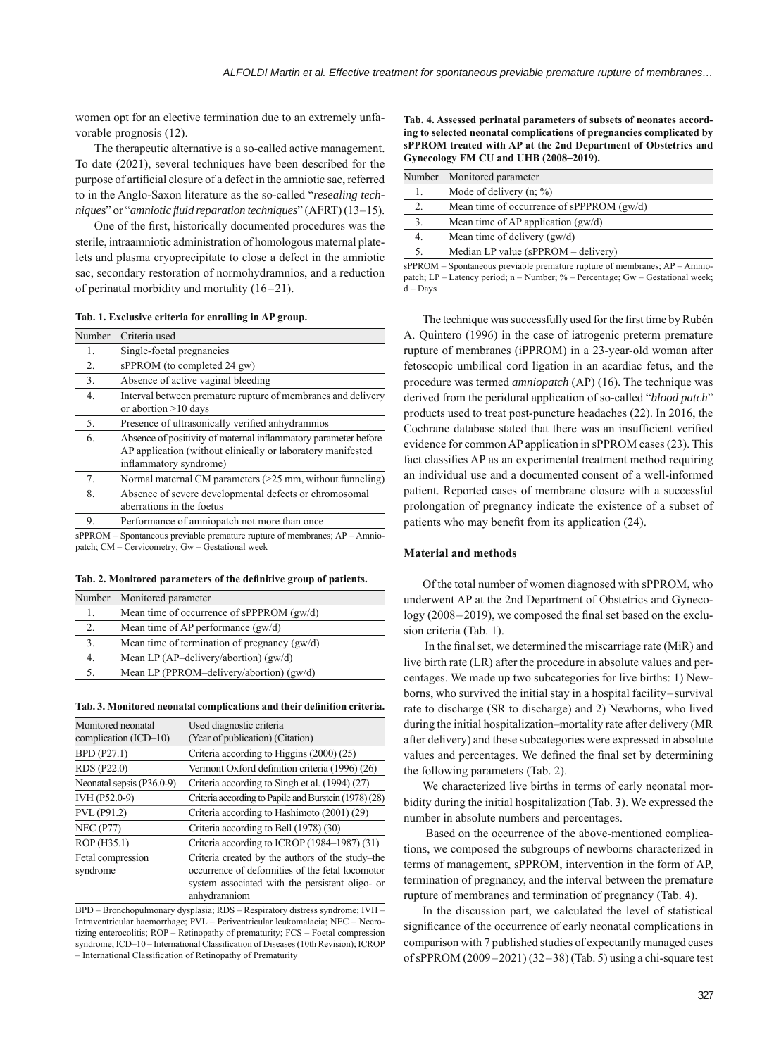women opt for an elective termination due to an extremely unfavorable prognosis (12).

The therapeutic alternative is a so-called active management. To date (2021), several techniques have been described for the purpose of artificial closure of a defect in the amniotic sac, referred to in the Anglo-Saxon literature as the so-called "*resealing technique*s" or "*amniotic fl uid reparation techniques*" (AFRT) (13–15).

One of the first, historically documented procedures was the sterile, intraamniotic administration of homologous maternal platelets and plasma cryoprecipitate to close a defect in the amniotic sac, secondary restoration of normohydramnios, and a reduction of perinatal morbidity and mortality (16–21).

**Tab. 1. Exclusive criteria for enrolling in AP group.**

| Number         | Criteria used                                                                                                                                            |
|----------------|----------------------------------------------------------------------------------------------------------------------------------------------------------|
| 1.             | Single-foetal pregnancies                                                                                                                                |
| 2.             | sPPROM (to completed 24 gw)                                                                                                                              |
| 3.             | Absence of active vaginal bleeding                                                                                                                       |
| 4.             | Interval between premature rupture of membranes and delivery<br>or abortion $>10$ days                                                                   |
| 5.             | Presence of ultrasonically verified anhydramnios                                                                                                         |
| 6.             | Absence of positivity of maternal inflammatory parameter before<br>AP application (without clinically or laboratory manifested<br>inflammatory syndrome) |
| 7.             | Normal maternal CM parameters $(>25$ mm, without funneling)                                                                                              |
| 8.             | Absence of severe developmental defects or chromosomal<br>aberrations in the foetus                                                                      |
| 9.             | Performance of amniopatch not more than once                                                                                                             |
| $nnn \wedge n$ | $\sqrt{2}$                                                                                                                                               |

 $sPPROM - Sontaneous previable premature runtime of membranes: AP - Amino$ patch; CM – Cervicometry; Gw – Gestational week

| Tab. 2. Monitored parameters of the definitive group of patients. |  |  |  |  |
|-------------------------------------------------------------------|--|--|--|--|
|-------------------------------------------------------------------|--|--|--|--|

|    | Number Monitored parameter                     |
|----|------------------------------------------------|
|    | Mean time of occurrence of sPPPROM $(gw/d)$    |
| 2. | Mean time of AP performance $(gw/d)$           |
| 3. | Mean time of termination of pregnancy $(gw/d)$ |
| 4. | Mean LP (AP-delivery/abortion) $(gw/d)$        |
| 5. | Mean LP (PPROM-delivery/abortion) (gw/d)       |
|    |                                                |

#### Tab. 3. Monitored neonatal complications and their definition criteria.

| Monitored neonatal        | Used diagnostic criteria                              |
|---------------------------|-------------------------------------------------------|
| complication (ICD–10)     | (Year of publication) (Citation)                      |
| BPD (P27.1)               | Criteria according to Higgins (2000) (25)             |
| RDS (P22.0)               | Vermont Oxford definition criteria (1996) (26)        |
| Neonatal sepsis (P36.0-9) | Criteria according to Singh et al. (1994) (27)        |
| IVH (P52.0-9)             | Criteria according to Papile and Burstein (1978) (28) |
| PVL (P91.2)               | Criteria according to Hashimoto (2001) (29)           |
| <b>NEC (P77)</b>          | Criteria according to Bell (1978) (30)                |
| ROP (H35.1)               | Criteria according to ICROP (1984–1987) (31)          |
| Fetal compression         | Criteria created by the authors of the study-the      |
| syndrome                  | occurrence of deformities of the fetal locomotor      |
|                           | system associated with the persistent oligo- or       |
|                           | anhydramniom                                          |

BPD – Bronchopulmonary dysplasia; RDS – Respiratory distress syndrome; IVH – Intraventricular haemorrhage; PVL – Periventricular leukomalacia; NEC – Necrotizing enterocolitis; ROP – Retinopathy of prematurity; FCS – Foetal compression syndrome; ICD-10 – International Classification of Diseases (10th Revision); ICROP – International Classification of Retinopathy of Prematurity

**Tab. 4. Assessed perinatal parameters of subsets of neonates according to selected neonatal complications of pregnancies complicated by sPPROM treated with AP at the 2nd Department of Obstetrics and Gynecology FM CU and UHB (2008–2019).**

| Number | Monitored parameter                       |
|--------|-------------------------------------------|
|        | Mode of delivery $(n; \%)$                |
| 2.     | Mean time of occurrence of sPPPROM (gw/d) |
| 3.     | Mean time of AP application $(gw/d)$      |
| 4.     | Mean time of delivery $(gw/d)$            |
|        | Median LP value (sPPROM – delivery)       |
|        |                                           |

sPPROM – Spontaneous previable premature rupture of membranes; AP – Amniopatch; LP – Latency period; n – Number; % – Percentage; Gw – Gestational week; d – Days

The technique was successfully used for the first time by Rubén A. Quintero (1996) in the case of iatrogenic preterm premature rupture of membranes (iPPROM) in a 23-year-old woman after fetoscopic umbilical cord ligation in an acardiac fetus, and the procedure was termed *amniopatch* (AP) (16). The technique was derived from the peridural application of so-called "*blood patch*" products used to treat post-puncture headaches (22). In 2016, the Cochrane database stated that there was an insufficient verified evidence for common AP application in sPPROM cases (23). This fact classifies AP as an experimental treatment method requiring an individual use and a documented consent of a well-informed patient. Reported cases of membrane closure with a successful prolongation of pregnancy indicate the existence of a subset of patients who may benefit from its application  $(24)$ .

# **Material and methods**

Of the total number of women diagnosed with sPPROM, who underwent AP at the 2nd Department of Obstetrics and Gyneco- $\log y (2008 - 2019)$ , we composed the final set based on the exclusion criteria (Tab. 1).

In the final set, we determined the miscarriage rate (MiR) and live birth rate (LR) after the procedure in absolute values and percentages. We made up two subcategories for live births: 1) Newborns, who survived the initial stay in a hospital facility–survival rate to discharge (SR to discharge) and 2) Newborns, who lived during the initial hospitalization–mortality rate after delivery (MR after delivery) and these subcategories were expressed in absolute values and percentages. We defined the final set by determining the following parameters (Tab. 2).

We characterized live births in terms of early neonatal morbidity during the initial hospitalization (Tab. 3). We expressed the number in absolute numbers and percentages.

 Based on the occurrence of the above-mentioned complications, we composed the subgroups of newborns characterized in terms of management, sPPROM, intervention in the form of AP, termination of pregnancy, and the interval between the premature rupture of membranes and termination of pregnancy (Tab. 4).

In the discussion part, we calculated the level of statistical significance of the occurrence of early neonatal complications in comparison with 7 published studies of expectantly managed cases of sPPROM (2009–2021) (32–38) (Tab. 5) using a chi-square test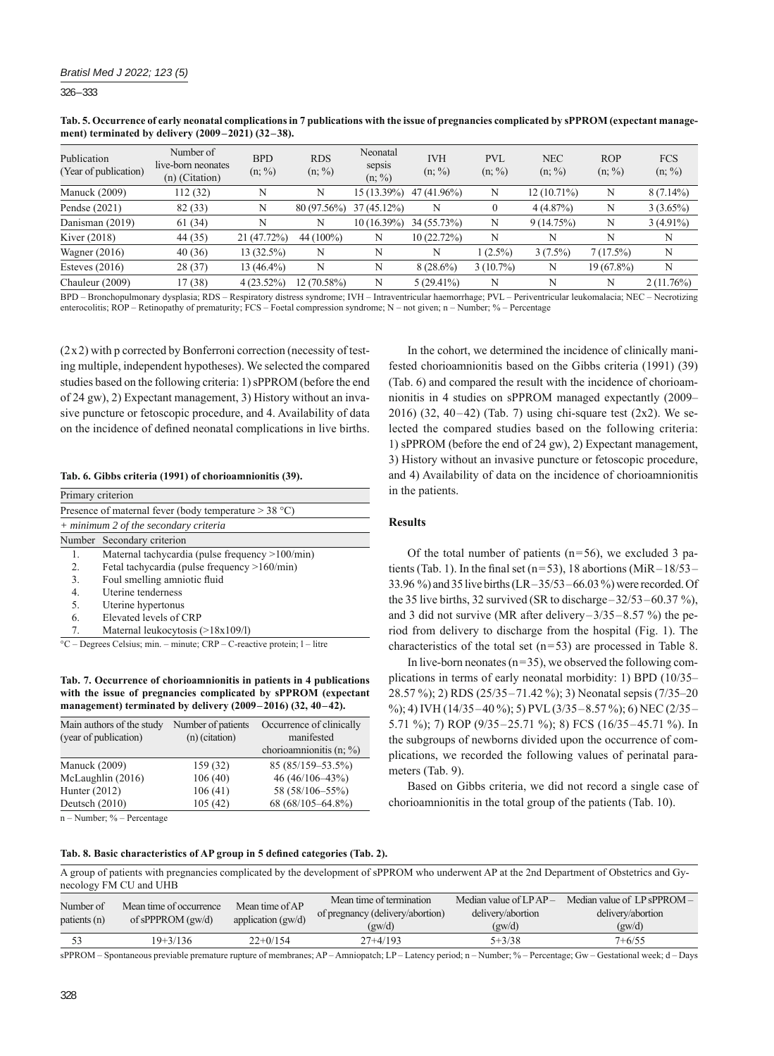326 – 333

**Tab. 5. Occurrence of early neonatal complications in 7 publications with the issue of pregnancies complicated by sPPROM (expectant management) terminated by delivery (2009–2021) (32–38).**

| Publication<br>(Year of publication) | Number of<br>live-born neonates<br>$(n)$ (Citation) | <b>BPD</b><br>$(n; \frac{9}{6})$ | <b>RDS</b><br>$(n; \%)$ | Neonatal<br>sepsis<br>$(n; \%)$ | <b>IVH</b><br>$(n; \frac{9}{6})$ | PVL<br>$(n; \%)$ | <b>NEC</b><br>$(n; \%)$ | ROP<br>$(n; \%)$ | <b>FCS</b><br>$(n; \frac{9}{6})$ |
|--------------------------------------|-----------------------------------------------------|----------------------------------|-------------------------|---------------------------------|----------------------------------|------------------|-------------------------|------------------|----------------------------------|
| <b>Manuck</b> (2009)                 | 112 (32)                                            | N                                | N                       | 15 (13.39%)                     | $47(41.96\%)$                    | N                | $12(10.71\%)$           | N                | $8(7.14\%)$                      |
| Pendse $(2021)$                      | 82 (33)                                             | N                                | $80(97.56\%)$           | $37(45.12\%)$                   | Ν                                |                  | 4(4.87%)                | N                | $3(3.65\%)$                      |
| Danisman (2019)                      | 61(34)                                              | N                                | N                       | 10 (16.39%)                     | 34 (55.73%)                      | N                | 9(14.75%)               | N                | $3(4.91\%)$                      |
| Kiver (2018)                         | 44 (35)                                             | 21 (47.72%)                      | 44 (100%)               | N                               | 10 (22.72%)                      | N                | N                       | N                | N                                |
| Wagner $(2016)$                      | 40(36)                                              | $13(32.5\%)$                     | N                       | N                               | N                                | $1(2.5\%)$       | $3(7.5\%)$              | 7(17.5%)         | N                                |
| Esteves $(2016)$                     | 28 (37)                                             | $13(46.4\%)$                     | N                       | N                               | $8(28.6\%)$                      | $3(10.7\%)$      | N                       | 19 (67.8%)       | N                                |
| Chauleur (2009)                      | 17(38)                                              | $4(23.52\%)$                     | 12 (70.58%)             | N                               | $5(29.41\%)$                     | N                | N                       | N                | $2(11.76\%)$                     |

BPD – Bronchopulmonary dysplasia; RDS – Respiratory distress syndrome; IVH – Intraventricular haemorrhage; PVL – Periventricular leukomalacia; NEC – Necrotizing enterocolitis; ROP – Retinopathy of prematurity; FCS – Foetal compression syndrome; N – not given; n – Number; % – Percentage

(2x2) with p corrected by Bonferroni correction (necessity of testing multiple, independent hypotheses). We selected the compared studies based on the following criteria: 1) sPPROM (before the end of 24 gw), 2) Expectant management, 3) History without an invasive puncture or fetoscopic procedure, and 4. Availability of data on the incidence of defined neonatal complications in live births.

#### **Tab. 6. Gibbs criteria (1991) of chorioamnionitis (39).**

| Primary criterion |                                                         |
|-------------------|---------------------------------------------------------|
|                   | Presence of maternal fever (body temperature $>$ 38 °C) |
|                   | + minimum 2 of the secondary criteria                   |
|                   | Number Secondary criterion                              |
| 1.                | Maternal tachycardia (pulse frequency >100/min)         |
| 2 <sup>1</sup>    | Fetal tachycardia (pulse frequency $>160/min$ )         |
| 3.                | Foul smelling amniotic fluid                            |
| 4.                | Uterine tenderness                                      |
| 5.                | Uterine hypertonus                                      |
| 6.                | Elevated levels of CRP                                  |
| 7.                | Maternal leukocytosis (>18x109/l)                       |

**Tab. 7. Occurrence of chorioamnionitis in patients in 4 publications with the issue of pregnancies complicated by sPPROM (expectant management) terminated by delivery (2009–2016) (32, 40–42).**

| Main authors of the study | Number of patients | Occurrence of clinically   |  |  |
|---------------------------|--------------------|----------------------------|--|--|
| (year of publication)     | $(n)$ (citation)   | manifested                 |  |  |
|                           |                    | chorioamnionitis $(n, \%)$ |  |  |
| <b>Manuck</b> (2009)      | 159 (32)           | 85 (85/159-53.5%)          |  |  |
| McLaughlin (2016)         | 106(40)            | $46(46/106-43%)$           |  |  |
| Hunter $(2012)$           | 106(41)            | 58 (58/106-55%)            |  |  |
| Deutsch (2010)            | 105(42)            | 68 (68/105-64.8%)          |  |  |

n – Number; % – Percentage

Tab. 8. Basic characteristics of AP group in 5 defined categories (Tab. 2).

In the cohort, we determined the incidence of clinically manifested chorioamnionitis based on the Gibbs criteria (1991) (39) (Tab. 6) and compared the result with the incidence of chorioamnionitis in 4 studies on sPPROM managed expectantly (2009– 2016) (32, 40–42) (Tab. 7) using chi-square test (2x2). We selected the compared studies based on the following criteria: 1) sPPROM (before the end of 24 gw), 2) Expectant management, 3) History without an invasive puncture or fetoscopic procedure, and 4) Availability of data on the incidence of chorioamnionitis in the patients.

#### **Results**

Of the total number of patients ( $n=56$ ), we excluded 3 patients (Tab. 1). In the final set ( $n=53$ ), 18 abortions (MiR-18/53-33.96 %) and 35 live births (LR–35/53–66.03 %) were recorded. Of the 35 live births, 32 survived (SR to discharge–32/53–60.37 %), and 3 did not survive (MR after delivery–3/35–8.57 %) the period from delivery to discharge from the hospital (Fig. 1). The characteristics of the total set (n=53) are processed in Table 8.

In live-born neonates  $(n=35)$ , we observed the following complications in terms of early neonatal morbidity: 1) BPD (10/35– 28.57 %); 2) RDS (25/35–71.42 %); 3) Neonatal sepsis (7/35–20  $\%$ ); 4) IVH (14/35–40 %); 5) PVL (3/35–8.57 %); 6) NEC (2/35– 5.71 %); 7) ROP (9/35–25.71 %); 8) FCS (16/35–45.71 %). In the subgroups of newborns divided upon the occurrence of complications, we recorded the following values of perinatal parameters (Tab. 9).

Based on Gibbs criteria, we did not record a single case of chorioamnionitis in the total group of the patients (Tab. 10).

| A group of patients with pregnancies complicated by the development of sPPROM who underwent AP at the 2nd Department of Obstetrics and Gy- |  |  |  |          |  |
|--------------------------------------------------------------------------------------------------------------------------------------------|--|--|--|----------|--|
| necology FM CU and UHB                                                                                                                     |  |  |  |          |  |
|                                                                                                                                            |  |  |  | $\cdots$ |  |

| Number of<br>patients (n) | Mean time of occurrence<br>of sPPPROM $(gw/d)$ | Mean time of AP<br>application $(gw/d)$ | Mean time of termination<br>of pregnancy (delivery/abortion)<br>(gw/d) | Median value of $LPAP-$<br>delivery/abortion<br>(gw/d) | Median value of $LP$ sPPROM $-$<br>delivery/abortion<br>(gw/d) |
|---------------------------|------------------------------------------------|-----------------------------------------|------------------------------------------------------------------------|--------------------------------------------------------|----------------------------------------------------------------|
|                           | 19+3/136                                       | $22+0/154$                              | $27+4/193$                                                             | $5 + 3/38$                                             | $7+6/55$                                                       |
|                           |                                                |                                         |                                                                        |                                                        |                                                                |

sPPROM – Spontaneous previable premature rupture of membranes; AP – Amniopatch; LP – Latency period; n – Number; % – Percentage; Gw – Gestational week; d – Days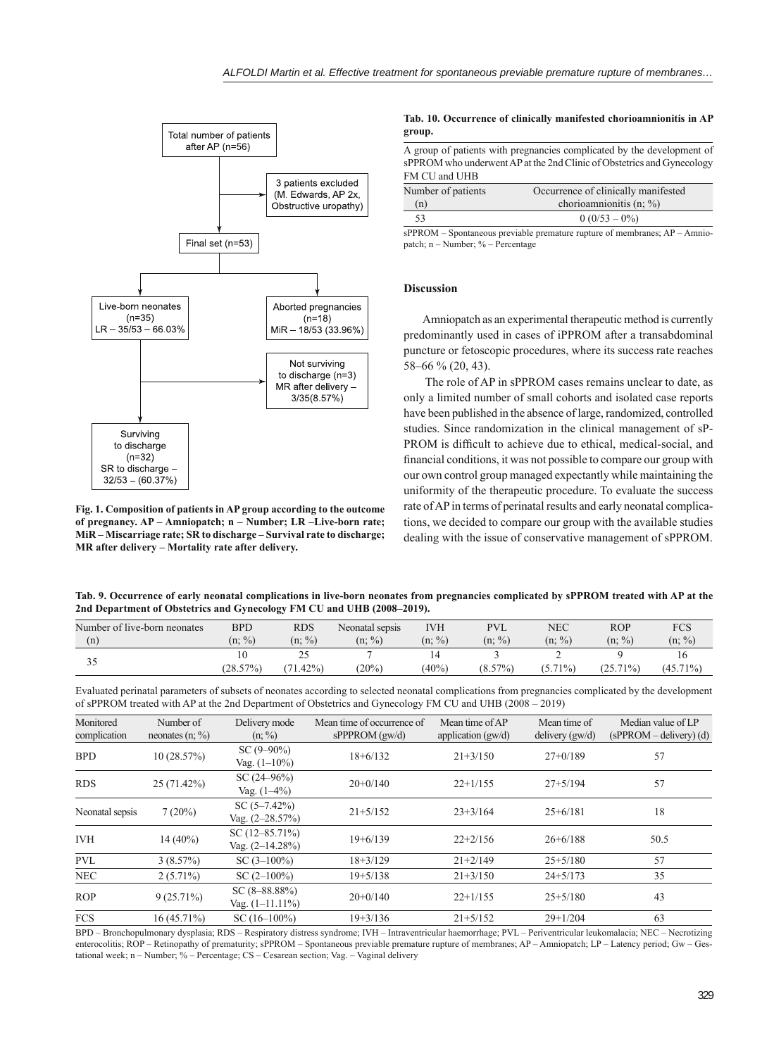

**Fig. 1. Composition of patients in AP group according to the outcome of pregnancy. AP – Amniopatch; n – Number; LR –Live-born rate; MiR – Miscarriage rate; SR to discharge – Survival rate to discharge; MR after delivery – Mortality rate after delivery.**

#### **Tab. 10. Occurrence of clinically manifested chorioamnionitis in AP group.**

A group of patients with pregnancies complicated by the development of sPPROM who underwent AP at the 2nd Clinic of Obstetrics and Gynecology FM CU and UHB

| Number of patients | Occurrence of clinically manifested |
|--------------------|-------------------------------------|
| (n)                | chorioamnionitis $(n; \%)$          |
| 53                 | $0(0/53-0\%)$                       |

sPPROM – Spontaneous previable premature rupture of membranes; AP – Amniopatch;  $n -$ Number; % – Percentage

### **Discussion**

Amniopatch as an experimental therapeutic method is currently predominantly used in cases of iPPROM after a transabdominal puncture or fetoscopic procedures, where its success rate reaches 58–66 % (20, 43).

 The role of AP in sPPROM cases remains unclear to date, as only a limited number of small cohorts and isolated case reports have been published in the absence of large, randomized, controlled studies. Since randomization in the clinical management of sP-PROM is difficult to achieve due to ethical, medical-social, and financial conditions, it was not possible to compare our group with our own control group managed expectantly while maintaining the uniformity of the therapeutic procedure. To evaluate the success rate of AP in terms of perinatal results and early neonatal complications, we decided to compare our group with the available studies dealing with the issue of conservative management of sPPROM.

**Tab. 9. Occurrence of early neonatal complications in live-born neonates from pregnancies complicated by sPPROM treated with AP at the 2nd Department of Obstetrics and Gynecology FM CU and UHB (2008–2019).**

| Number of live-born neonates | <b>BPD</b> | <b>RDS</b> | Neonatal sepsis | IVH       | <b>PVL</b> | NEC        | <b>ROP</b>  | FCS         |
|------------------------------|------------|------------|-----------------|-----------|------------|------------|-------------|-------------|
| (n)                          | $(n; \%)$  | $(n; \%)$  | $(n; \%)$       | $(n; \%)$ | $(n; \%)$  | $(n; \%)$  | $(n; \%)$   | $(n; \%)$   |
|                              |            | ت ک        |                 |           |            |            |             |             |
|                              | (28.57%)   | $.42\%$    | (20%)           | $(40\%$   | $(8.57\%)$ | $(5.71\%)$ | $(25.71\%)$ | $(45.71\%)$ |

Evaluated perinatal parameters of subsets of neonates according to selected neonatal complications from pregnancies complicated by the development of sPPROM treated with AP at the 2nd Department of Obstetrics and Gynecology FM CU and UHB (2008 – 2019)

| Monitored<br>complication | Number of<br>neonates $(n; \%)$ | Delivery mode<br>$(n; \%)$                | Mean time of occurrence of<br>$sPPPROM$ (gw/d) | Mean time of AP<br>application $(gw/d)$ | Mean time of<br>delivery $(gw/d)$ | Median value of LP<br>$(sPPROM - delivery)$ (d) |
|---------------------------|---------------------------------|-------------------------------------------|------------------------------------------------|-----------------------------------------|-----------------------------------|-------------------------------------------------|
| <b>BPD</b>                | 10(28.57%)                      | $SC(9-90\%)$<br>Vag. $(1-10\%)$           | $18+6/132$                                     | $21+3/150$                              | $27+0/189$                        | 57                                              |
| <b>RDS</b>                | 25(71.42%)                      | SC(24–96%)<br>Vag. $(1-4\%)$              | $20+0/140$                                     | $22+1/155$                              | $27+5/194$                        | 57                                              |
| Neonatal sepsis           | 7(20%)                          | SC $(5-7.42\%)$<br>Vag. $(2-28.57%)$      | $21+5/152$                                     | $23+3/164$                              | $25+6/181$                        | 18                                              |
| <b>IVH</b>                | $14(40\%)$                      | SC $(12 - 85.71\%)$<br>Vag. $(2-14.28\%)$ | $19+6/139$                                     | $22+2/156$                              | $26+6/188$                        | 50.5                                            |
| <b>PVL</b>                | 3(8.57%)                        | $SC(3-100\%)$                             | $18+3/129$                                     | $21+2/149$                              | $25+5/180$                        | 57                                              |
| <b>NEC</b>                | $2(5.71\%)$                     | $SC(2-100\%)$                             | $19 + 5/138$                                   | $21+3/150$                              | $24+5/173$                        | 35                                              |
| <b>ROP</b>                | $9(25.71\%)$                    | $SC(8-88.88\%)$<br>Vag. $(1-11.11\%)$     | $20+0/140$                                     | $22+1/155$                              | $25+5/180$                        | 43                                              |
| <b>FCS</b>                | $16(45.71\%)$                   | $SC(16-100\%)$                            | $19 + 3/136$                                   | $21+5/152$                              | $29+1/204$                        | 63                                              |

BPD – Bronchopulmonary dysplasia; RDS – Respiratory distress syndrome; IVH – Intraventricular haemorrhage; PVL – Periventricular leukomalacia; NEC – Necrotizing enterocolitis; ROP – Retinopathy of prematurity; sPPROM – Spontaneous previable premature rupture of membranes; AP – Amniopatch; LP – Latency period; Gw – Gestational week; n – Number; % – Percentage; CS – Cesarean section; Vag. – Vaginal delivery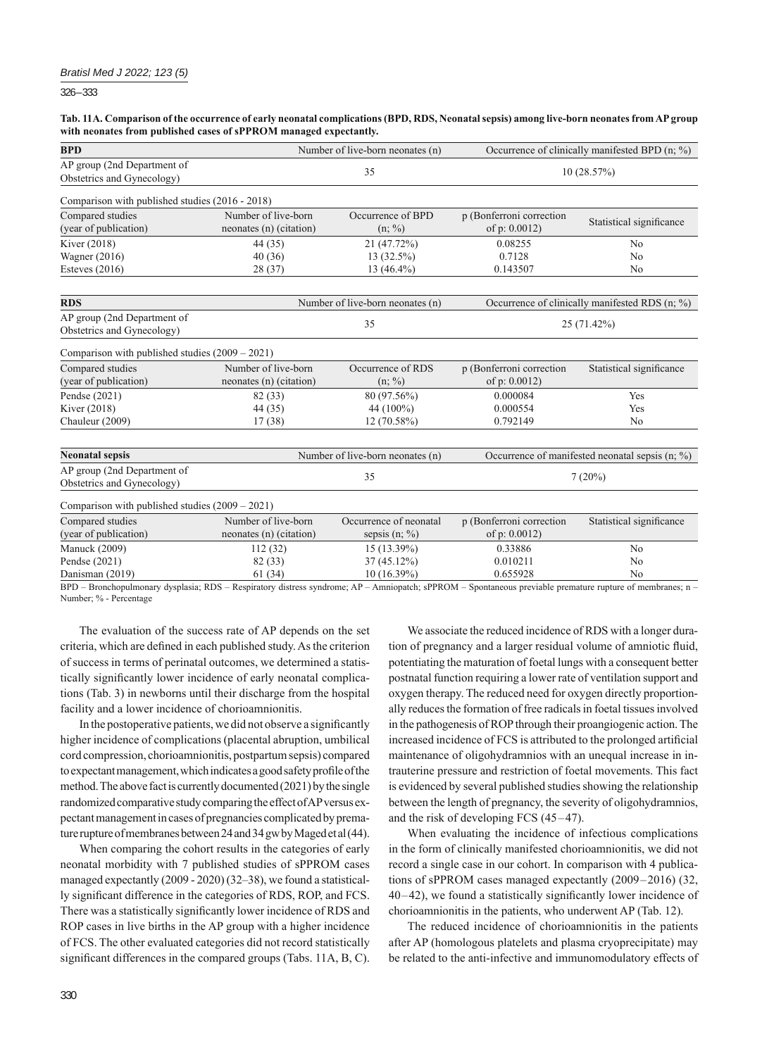326 – 333

#### **Tab. 11A. Comparison of the occurrence of early neonatal complications (BPD, RDS, Neonatal sepsis) among live-born neonates from AP group with neonates from published cases of sPPROM managed expectantly.**

| <b>BPD</b>                                                |                                                | Number of live-born neonates (n)        |                                                                        | Occurrence of clinically manifested BPD (n; %)     |  |  |
|-----------------------------------------------------------|------------------------------------------------|-----------------------------------------|------------------------------------------------------------------------|----------------------------------------------------|--|--|
| AP group (2nd Department of<br>Obstetrics and Gynecology) |                                                | 35                                      | 10(28.57%)                                                             |                                                    |  |  |
| Comparison with published studies (2016 - 2018)           |                                                |                                         |                                                                        |                                                    |  |  |
| Compared studies                                          | Number of live-born                            | Occurrence of BPD                       | p (Bonferroni correction                                               |                                                    |  |  |
| (year of publication)                                     | neonates (n) (citation)                        | $(n; \%)$                               | Statistical significance<br>of $p: 0.0012$                             |                                                    |  |  |
| Kiver (2018)                                              | 44 (35)                                        | 21 (47.72%)                             | 0.08255                                                                | No                                                 |  |  |
| <b>Wagner</b> (2016)                                      | 40(36)                                         | 13 (32.5%)                              | 0.7128<br>N <sub>0</sub>                                               |                                                    |  |  |
| Esteves $(2016)$                                          | 28(37)                                         | 13 (46.4%)                              | 0.143507<br>N <sub>0</sub>                                             |                                                    |  |  |
| <b>RDS</b>                                                |                                                | Number of live-born neonates (n)        |                                                                        | Occurrence of clinically manifested RDS (n; %)     |  |  |
| AP group (2nd Department of<br>Obstetrics and Gynecology) |                                                | 35                                      | 25 (71.42%)                                                            |                                                    |  |  |
| Comparison with published studies $(2009 - 2021)$         |                                                |                                         |                                                                        |                                                    |  |  |
| Compared studies<br>(year of publication)                 | Number of live-born<br>neonates (n) (citation) | Occurrence of RDS<br>$(n; \frac{9}{0})$ | p (Bonferroni correction<br>Statistical significance<br>of $p: 0.0012$ |                                                    |  |  |
| Pendse (2021)                                             | 82 (33)                                        | 80 (97.56%)                             | 0.000084<br>Yes                                                        |                                                    |  |  |
| Kiver (2018)                                              | 44 (35)                                        | 44 (100%)                               | 0.000554<br>Yes                                                        |                                                    |  |  |
| Chauleur (2009)                                           | 17(38)                                         | $12(70.58\%)$                           | 0.792149<br>N <sub>0</sub>                                             |                                                    |  |  |
| <b>Neonatal sepsis</b>                                    |                                                | Number of live-born neonates (n)        |                                                                        | Occurrence of manifested neonatal sepsis $(n; \%)$ |  |  |
| AP group (2nd Department of<br>Obstetrics and Gynecology) |                                                | 35                                      | 7(20%)                                                                 |                                                    |  |  |
| Comparison with published studies (2009 - 2021)           |                                                |                                         |                                                                        |                                                    |  |  |
| Compared studies                                          | Number of live-born                            | Occurrence of neonatal                  | p (Bonferroni correction                                               | Statistical significance                           |  |  |
| (year of publication)                                     | neonates (n) (citation)                        | sepsis $(n; \%)$                        | of $p: 0.0012$                                                         |                                                    |  |  |
| <b>Manuck</b> (2009)                                      | 112(32)                                        | 15 (13.39%)                             | 0.33886                                                                | N <sub>0</sub>                                     |  |  |
| Pendse (2021)                                             | 82 (33)                                        | 37 (45.12%)                             | 0.010211                                                               | No                                                 |  |  |
| Danisman (2019)                                           | 61(34)                                         | 10 (16.39%)                             | 0.655928<br>N <sub>0</sub>                                             |                                                    |  |  |

BPD – Bronchopulmonary dysplasia; RDS – Respiratory distress syndrome; AP – Amniopatch; sPPROM – Spontaneous previable premature rupture of membranes; n – Number; % - Percentage

The evaluation of the success rate of AP depends on the set criteria, which are defined in each published study. As the criterion of success in terms of perinatal outcomes, we determined a statistically significantly lower incidence of early neonatal complications (Tab. 3) in newborns until their discharge from the hospital facility and a lower incidence of chorioamnionitis.

In the postoperative patients, we did not observe a significantly higher incidence of complications (placental abruption, umbilical cord compression, chorioamnionitis, postpartum sepsis) compared to expectant management, which indicates a good safety profi le of the method. The above fact is currently documented (2021) by the single randomized comparative study comparing the effect of AP versus expectant management in cases of pregnancies complicated by premature rupture of membranes between 24 and 34 gw by Maged et al (44).

When comparing the cohort results in the categories of early neonatal morbidity with 7 published studies of sPPROM cases managed expectantly (2009 - 2020) (32–38), we found a statistically significant difference in the categories of RDS, ROP, and FCS. There was a statistically significantly lower incidence of RDS and ROP cases in live births in the AP group with a higher incidence of FCS. The other evaluated categories did not record statistically significant differences in the compared groups (Tabs. 11A, B, C).

We associate the reduced incidence of RDS with a longer duration of pregnancy and a larger residual volume of amniotic fluid, potentiating the maturation of foetal lungs with a consequent better postnatal function requiring a lower rate of ventilation support and oxygen therapy. The reduced need for oxygen directly proportionally reduces the formation of free radicals in foetal tissues involved in the pathogenesis of ROP through their proangiogenic action. The increased incidence of FCS is attributed to the prolonged artificial maintenance of oligohydramnios with an unequal increase in intrauterine pressure and restriction of foetal movements. This fact is evidenced by several published studies showing the relationship between the length of pregnancy, the severity of oligohydramnios, and the risk of developing FCS (45–47).

When evaluating the incidence of infectious complications in the form of clinically manifested chorioamnionitis, we did not record a single case in our cohort. In comparison with 4 publications of sPPROM cases managed expectantly (2009–2016) (32,  $40-42$ ), we found a statistically significantly lower incidence of chorioamnionitis in the patients, who underwent AP (Tab. 12).

The reduced incidence of chorioamnionitis in the patients after AP (homologous platelets and plasma cryoprecipitate) may be related to the anti-infective and immunomodulatory effects of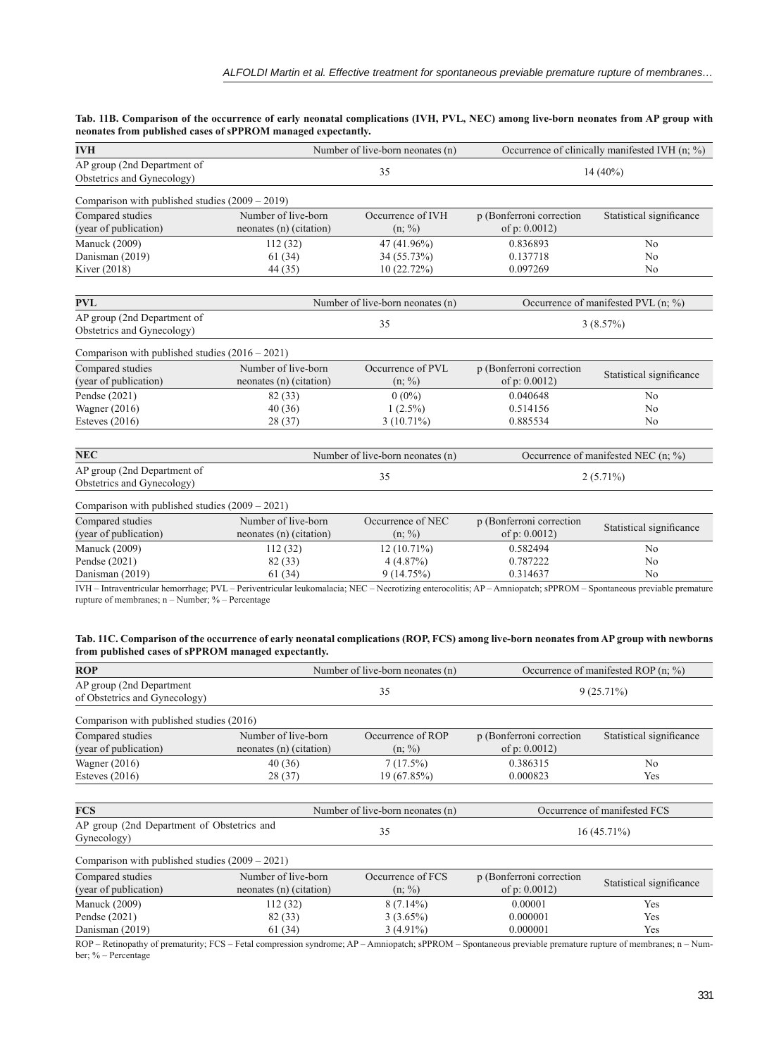**Tab. 11B. Comparison of the occurrence of early neonatal complications (IVH, PVL, NEC) among live-born neonates from AP group with neonates from published cases of sPPROM managed expectantly.**

| <b>IVH</b>                                                                                  | Number of live-born neonates (n)                                        | Occurrence of clinically manifested IVH (n; %) |                                     |
|---------------------------------------------------------------------------------------------|-------------------------------------------------------------------------|------------------------------------------------|-------------------------------------|
| AP group (2nd Department of<br>Obstetrics and Gynecology)                                   | 35                                                                      | $14(40\%)$                                     |                                     |
| Comparison with published studies (2009 - 2019)                                             |                                                                         |                                                |                                     |
| Compared studies<br>Number of live-born<br>(year of publication)<br>neonates (n) (citation) | Occurrence of IVH<br>$(n; \%)$                                          | p (Bonferroni correction<br>of $p: 0.0012$     | Statistical significance            |
| <b>Manuck</b> (2009)<br>112(32)                                                             | 47 (41.96%)                                                             | 0.836893                                       | N <sub>0</sub>                      |
| Danisman (2019)<br>61(34)                                                                   | 34 (55.73%)                                                             | 0.137718                                       | N <sub>0</sub>                      |
| Kiver (2018)<br>44 (35)                                                                     | 10(22.72%)                                                              | 0.097269                                       | N <sub>0</sub>                      |
|                                                                                             |                                                                         |                                                |                                     |
| <b>PVL</b>                                                                                  | Number of live-born neonates (n)                                        |                                                | Occurrence of manifested PVL (n; %) |
| AP group (2nd Department of<br>Obstetrics and Gynecology)                                   | 35                                                                      | 3(8.57%)                                       |                                     |
| Comparison with published studies $(2016 - 2021)$                                           |                                                                         |                                                |                                     |
| Number of live-born<br>Compared studies                                                     | Occurrence of PVL                                                       | p (Bonferroni correction                       |                                     |
| (year of publication)<br>neonates (n) (citation)                                            | $(n; \%)$                                                               | of p: $0.0012$ )                               | Statistical significance            |
| Pendse (2021)<br>82 (33)                                                                    | $0(0\%)$                                                                | 0.040648                                       | No                                  |
| Wagner $(2016)$<br>40(36)                                                                   | $1(2.5\%)$                                                              | 0.514156                                       | N <sub>0</sub>                      |
| Esteves $(2016)$<br>28 (37)                                                                 | $3(10.71\%)$                                                            | 0.885534                                       | N <sub>0</sub>                      |
| <b>NEC</b>                                                                                  | Number of live-born neonates (n)<br>Occurrence of manifested NEC (n; %) |                                                |                                     |
| AP group (2nd Department of<br>Obstetrics and Gynecology)                                   | 35                                                                      | $2(5.71\%)$                                    |                                     |
| Comparison with published studies $(2009 – 2021)$                                           |                                                                         |                                                |                                     |
| Compared studies<br>Number of live-born                                                     | Occurrence of NEC                                                       | p (Bonferroni correction                       |                                     |
| (year of publication)<br>neonates (n) (citation)                                            | $(n; \frac{9}{0})$                                                      | of $p: 0.0012$                                 | Statistical significance            |
| <b>Manuck</b> (2009)<br>112(32)                                                             | 12 (10.71%)                                                             | 0.582494                                       | N <sub>0</sub>                      |
| Pendse (2021)<br>82 (33)                                                                    | 4(4.87%)                                                                | 0.787222                                       | N <sub>0</sub>                      |
| Danisman (2019)<br>61(34)                                                                   | 9(14.75%)                                                               | 0.314637<br>N <sub>0</sub>                     |                                     |

IVH – Intraventricular hemorrhage; PVL – Periventricular leukomalacia; NEC – Necrotizing enterocolitis; AP – Amniopatch; sPPROM – Spontaneous previable premature rupture of membranes; n – Number; % – Percentage

| Tab. 11C. Comparison of the occurrence of early neonatal complications (ROP, FCS) among live-born neonates from AP group with newborns |  |  |
|----------------------------------------------------------------------------------------------------------------------------------------|--|--|
| from published cases of sPPROM managed expectantly.                                                                                    |  |  |

| <b>ROP</b>                                                 |                                                | Number of live-born neonates (n)          | Occurrence of manifested ROP $(n; \%)$                                 |                              |  |
|------------------------------------------------------------|------------------------------------------------|-------------------------------------------|------------------------------------------------------------------------|------------------------------|--|
| AP group (2nd Department)<br>of Obstetrics and Gynecology) |                                                | 35                                        | $9(25.71\%)$                                                           |                              |  |
| Comparison with published studies (2016)                   |                                                |                                           |                                                                        |                              |  |
| Compared studies<br>(year of publication)                  | Number of live-born<br>neonates (n) (citation) | Occurrence of ROP<br>$(n; \%)$            | p (Bonferroni correction<br>of $p: 0.0012$                             | Statistical significance     |  |
| Wagner $(2016)$<br>Esteves $(2016)$                        | 40(36)<br>28 (37)                              | 7(17.5%)<br>19 (67.85%)                   | 0.386315<br>N <sub>0</sub><br>0.000823<br>Yes                          |                              |  |
| <b>FCS</b>                                                 |                                                | Number of live-born neonates (n)          |                                                                        | Occurrence of manifested FCS |  |
| AP group (2nd Department of Obstetrics and<br>Gynecology)  |                                                | 35                                        | $16(45.71\%)$                                                          |                              |  |
| Comparison with published studies $(2009 – 2021)$          |                                                |                                           |                                                                        |                              |  |
| Compared studies<br>(year of publication)                  | Number of live-born<br>neonates (n) (citation) | Occurrence of FCS<br>$(n; \%)$            | p (Bonferroni correction<br>Statistical significance<br>of $p: 0.0012$ |                              |  |
| <b>Manuck (2009)</b><br>Pendse (2021)<br>Danisman (2019)   | 112(32)<br>82 (33)<br>61 (34)                  | $8(7.14\%)$<br>$3(3.65\%)$<br>$3(4.91\%)$ | 0.00001<br>Yes<br>0.000001<br>Yes<br>0.000001<br>Yes                   |                              |  |

ROP – Retinopathy of prematurity; FCS – Fetal compression syndrome; AP – Amniopatch; sPPROM – Spontaneous previable premature rupture of membranes; n – Number; % – Percentage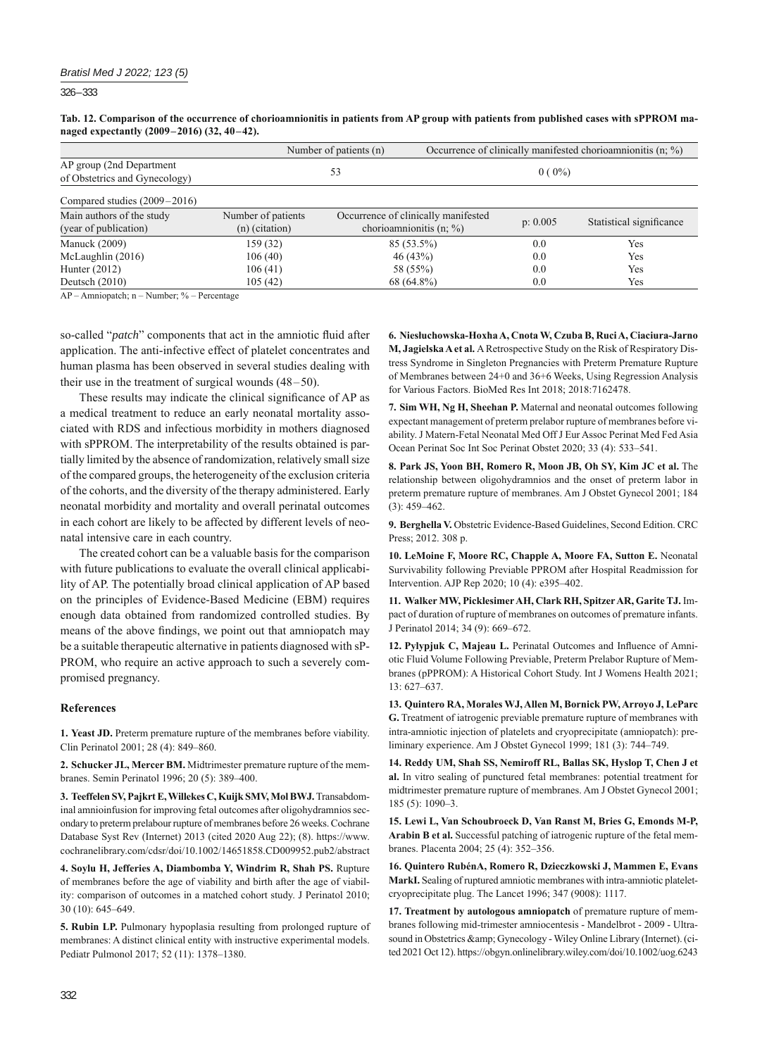326 – 333

**Tab. 12. Comparison of the occurrence of chorioamnionitis in patients from AP group with patients from published cases with sPPROM managed expectantly (2009–2016) (32, 40–42).**

|                                                            | Number of patients (n)                 |                                                                   | Occurrence of clinically manifested chorioamnionitis (n; %) |          |                          |
|------------------------------------------------------------|----------------------------------------|-------------------------------------------------------------------|-------------------------------------------------------------|----------|--------------------------|
| AP group (2nd Department)<br>of Obstetrics and Gynecology) |                                        | 53                                                                | $0(0\%)$                                                    |          |                          |
| Compared studies $(2009-2016)$                             |                                        |                                                                   |                                                             |          |                          |
| Main authors of the study<br>(year of publication)         | Number of patients<br>$(n)$ (citation) | Occurrence of clinically manifested<br>chorioamnionitis $(n; \%)$ |                                                             | p: 0.005 | Statistical significance |
| <b>Manuck</b> (2009)                                       | 159 (32)                               | $85(53.5\%)$                                                      |                                                             | 0.0      | Yes                      |
| McLaughlin $(2016)$                                        | 106(40)                                | 46 (43%)                                                          |                                                             | 0.0      | Yes                      |
| Hunter $(2012)$                                            | 106(41)                                | 58 (55%)                                                          |                                                             | 0.0      | Yes                      |
| Deutsch $(2010)$                                           | 105(42)                                | 68 (64.8%)                                                        |                                                             | 0.0      | Yes                      |

AP – Amniopatch; n – Number; % – Percentage

so-called "*patch*" components that act in the amniotic fluid after application. The anti-infective effect of platelet concentrates and human plasma has been observed in several studies dealing with their use in the treatment of surgical wounds (48–50).

These results may indicate the clinical significance of AP as a medical treatment to reduce an early neonatal mortality associated with RDS and infectious morbidity in mothers diagnosed with sPPROM. The interpretability of the results obtained is partially limited by the absence of randomization, relatively small size of the compared groups, the heterogeneity of the exclusion criteria of the cohorts, and the diversity of the therapy administered. Early neonatal morbidity and mortality and overall perinatal outcomes in each cohort are likely to be affected by different levels of neonatal intensive care in each country.

The created cohort can be a valuable basis for the comparison with future publications to evaluate the overall clinical applicability of AP. The potentially broad clinical application of AP based on the principles of Evidence-Based Medicine (EBM) requires enough data obtained from randomized controlled studies. By means of the above findings, we point out that amniopatch may be a suitable therapeutic alternative in patients diagnosed with sP-PROM, who require an active approach to such a severely compromised pregnancy.

# **References**

**1. Yeast JD.** Preterm premature rupture of the membranes before viability. Clin Perinatol 2001; 28 (4): 849–860.

**2. Schucker JL, Mercer BM.** Midtrimester premature rupture of the membranes. Semin Perinatol 1996; 20 (5): 389–400.

**3. Teeffelen SV, Pajkrt E, Willekes C, Kuijk SMV, Mol BWJ.** Transabdominal amnioinfusion for improving fetal outcomes after oligohydramnios secondary to preterm prelabour rupture of membranes before 26 weeks. Cochrane Database Syst Rev (Internet) 2013 (cited 2020 Aug 22); (8). https://www. cochranelibrary.com/cdsr/doi/10.1002/14651858.CD009952.pub2/abstract

**4. Soylu H, Jefferies A, Diambomba Y, Windrim R, Shah PS.** Rupture of membranes before the age of viability and birth after the age of viability: comparison of outcomes in a matched cohort study. J Perinatol 2010; 30 (10): 645–649.

**5. Rubin LP.** Pulmonary hypoplasia resulting from prolonged rupture of membranes: A distinct clinical entity with instructive experimental models. Pediatr Pulmonol 2017; 52 (11): 1378–1380.

**6. Niesłuchowska-Hoxha A, Cnota W, Czuba B, Ruci A, Ciaciura-Jarno M, Jagielska A et al.** A Retrospective Study on the Risk of Respiratory Distress Syndrome in Singleton Pregnancies with Preterm Premature Rupture of Membranes between 24+0 and 36+6 Weeks, Using Regression Analysis for Various Factors. BioMed Res Int 2018; 2018:7162478.

**7. Sim WH, Ng H, Sheehan P.** Maternal and neonatal outcomes following expectant management of preterm prelabor rupture of membranes before viability. J Matern-Fetal Neonatal Med Off J Eur Assoc Perinat Med Fed Asia Ocean Perinat Soc Int Soc Perinat Obstet 2020; 33 (4): 533–541.

**8. Park JS, Yoon BH, Romero R, Moon JB, Oh SY, Kim JC et al.** The relationship between oligohydramnios and the onset of preterm labor in preterm premature rupture of membranes. Am J Obstet Gynecol 2001; 184 (3): 459–462.

**9. Berghella V.** Obstetric Evidence-Based Guidelines, Second Edition. CRC Press; 2012. 308 p.

**10. LeMoine F, Moore RC, Chapple A, Moore FA, Sutton E.** Neonatal Survivability following Previable PPROM after Hospital Readmission for Intervention. AJP Rep 2020; 10 (4): e395–402.

**11. Walker MW, Picklesimer AH, Clark RH, Spitzer AR, Garite TJ.** Impact of duration of rupture of membranes on outcomes of premature infants. J Perinatol 2014; 34 (9): 669–672.

12. Pylypjuk C, Majeau L. Perinatal Outcomes and Influence of Amniotic Fluid Volume Following Previable, Preterm Prelabor Rupture of Membranes (pPPROM): A Historical Cohort Study. Int J Womens Health 2021; 13: 627–637.

**13. Quintero RA, Morales WJ, Allen M, Bornick PW, Arroyo J, LeParc G.** Treatment of iatrogenic previable premature rupture of membranes with intra-amniotic injection of platelets and cryoprecipitate (amniopatch): preliminary experience. Am J Obstet Gynecol 1999; 181 (3): 744–749.

**14. Reddy UM, Shah SS, Nemiroff RL, Ballas SK, Hyslop T, Chen J et al.** In vitro sealing of punctured fetal membranes: potential treatment for midtrimester premature rupture of membranes. Am J Obstet Gynecol 2001; 185 (5): 1090–3.

**15. Lewi L, Van Schoubroeck D, Van Ranst M, Bries G, Emonds M-P, Arabin B et al.** Successful patching of iatrogenic rupture of the fetal membranes. Placenta 2004; 25 (4): 352–356.

**16. Quintero RubénA, Romero R, Dzieczkowski J, Mammen E, Evans MarkI.** Sealing of ruptured amniotic membranes with intra-amniotic plateletcryoprecipitate plug. The Lancet 1996; 347 (9008): 1117.

**17. Treatment by autologous amniopatch** of premature rupture of membranes following mid-trimester amniocentesis - Mandelbrot - 2009 - Ultrasound in Obstetrics & amp; Gynecology - Wiley Online Library (Internet). (cited 2021 Oct 12). https://obgyn.onlinelibrary.wiley.com/doi/10.1002/uog.6243